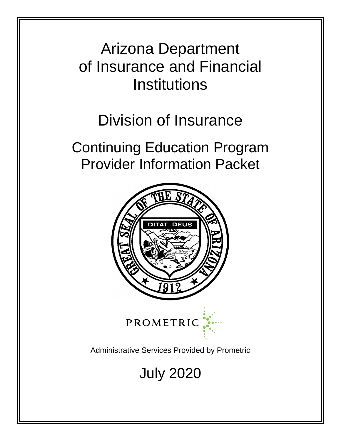# Arizona Department of Insurance and Financial **Institutions**

# Division of Insurance

Continuing Education Program Provider Information Packet



July 2020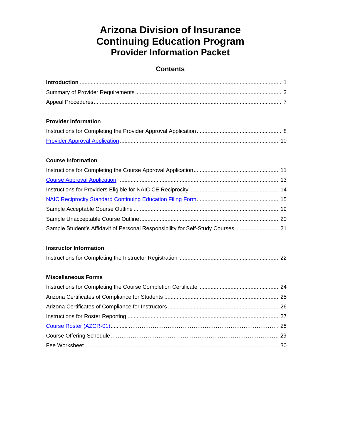# **Arizona Division of Insurance Continuing Education Program Provider Information Packet**

# **Contents**

| <b>Provider Information</b>                                                     |
|---------------------------------------------------------------------------------|
|                                                                                 |
|                                                                                 |
| <b>Course Information</b>                                                       |
|                                                                                 |
|                                                                                 |
|                                                                                 |
|                                                                                 |
|                                                                                 |
|                                                                                 |
| Sample Student's Affidavit of Personal Responsibility for Self-Study Courses 21 |
| <b>Instructor Information</b>                                                   |
|                                                                                 |
| <b>Miscellaneous Forms</b>                                                      |
|                                                                                 |
|                                                                                 |
|                                                                                 |
|                                                                                 |
|                                                                                 |
|                                                                                 |
|                                                                                 |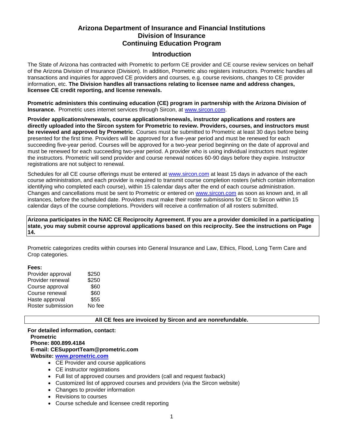# **Arizona Department of Insurance and Financial Institutions Division of Insurance Continuing Education Program**

#### **Introduction**

The State of Arizona has contracted with Prometric to perform CE provider and CE course review services on behalf of the Arizona Division of Insurance (Division). In addition, Prometric also registers instructors. Prometric handles all transactions and inquiries for approved CE providers and courses, e.g. course revisions, changes to CE provider information, etc. **The Division handles all transactions relating to licensee name and address changes, licensee CE credit reporting, and license renewals.**

**Prometric administers this continuing education (CE) program in partnership with the Arizona Division of Insurance.** Prometric uses internet services through Sircon, at [www.sircon.com.](http://www.sircon.com/)

**Provider applications/renewals, course applications/renewals, instructor applications and rosters are directly uploaded into the Sircon system for Prometric to review. Providers, courses, and instructors must be reviewed and approved by Prometric**. Courses must be submitted to Prometric at least 30 days before being presented for the first time. Providers will be approved for a five-year period and must be renewed for each succeeding five-year period. Courses will be approved for a two-year period beginning on the date of approval and must be renewed for each succeeding two-year period. A provider who is using individual instructors must register the instructors. Prometric will send provider and course renewal notices 60-90 days before they expire. Instructor registrations are not subject to renewal.

Schedules for all CE course offerings must be entered at [www.sircon.com](http://www.sircon.com/) at least 15 days in advance of the each course administration, and each provider is required to transmit course completion rosters (which contain information identifying who completed each course), within 15 calendar days after the end of each course administration. Changes and cancellations must be sent to Prometric or entered on [www.sircon.com](http://www.sircon.com/) as soon as known and, in all instances, before the scheduled date. Providers must make their roster submissions for CE to Sircon within 15 calendar days of the course completions. Providers will receive a confirmation of all rosters submitted.

**Arizona participates in the NAIC CE Reciprocity Agreement. If you are a provider domiciled in a participating state, you may submit course approval applications based on this reciprocity. See the instructions on Page 14.**

Prometric categorizes credits within courses into General Insurance and Law, Ethics, Flood, Long Term Care and Crop categories.

#### **Fees:**

| \$250  |
|--------|
| \$250  |
| \$60   |
| \$60   |
| \$55   |
| No fee |
|        |

**All CE fees are invoiced by Sircon and are nonrefundable.** 

**For detailed information, contact: Prometric Phone: 800.899.4184 E-mail: CESupportTeam@prometric.com Website: [www.prometric.com](http://www.experioronline.com/)** • CE Provider and course applications • CE instructor registrations

- Full list of approved courses and providers (call and request faxback)
- Customized list of approved courses and providers (via the Sircon website)
- Changes to provider information
- Revisions to courses
- Course schedule and licensee credit reporting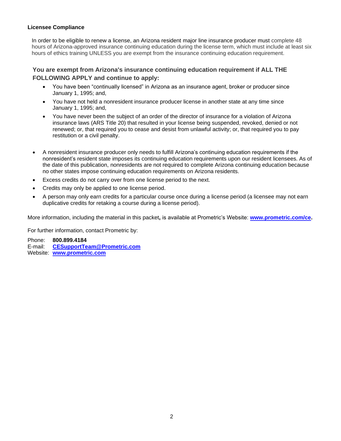#### **Licensee Compliance**

In order to be eligible to renew a license, an Arizona resident major line insurance producer must complete 48 hours of Arizona-approved insurance continuing education during the license term, which must include at least six hours of ethics training UNLESS you are exempt from the insurance continuing education requirement.

# **You are exempt from Arizona's insurance continuing education requirement if ALL THE FOLLOWING APPLY and continue to apply:**

- You have been "continually licensed" in Arizona as an insurance agent, broker or producer since January 1, 1995; and,
- You have not held a nonresident insurance producer license in another state at any time since January 1, 1995; and,
- You have never been the subject of an order of the director of insurance for a violation of Arizona insurance laws (ARS Title 20) that resulted in your license being suspended, revoked, denied or not renewed; or, that required you to cease and desist from unlawful activity; or, that required you to pay restitution or a civil penalty.
- A nonresident insurance producer only needs to fulfill Arizona's continuing education requirements if the nonresident's resident state imposes its continuing education requirements upon our resident licensees. As of the date of this publication, nonresidents are not required to complete Arizona continuing education because no other states impose continuing education requirements on Arizona residents.
- Excess credits do not carry over from one license period to the next.
- Credits may only be applied to one license period.
- A person may only earn credits for a particular course once during a license period (a licensee may not earn duplicative credits for retaking a course during a license period).

More information, including the material in this packet**,** is available at Prometric's Website: **[www.prometric.com/ce.](http://www.prometric.com/arizona)** 

For further information, contact Prometric by:

Phone: **800.899.4184** E-mail: **[CESupportTeam@Prometric.com](mailto:CESupportTeam@Prometric.com)** Website: **[www.prometric.com](http://www.prometric.com/)**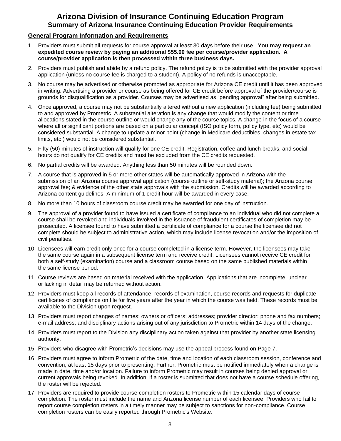# **Arizona Division of Insurance Continuing Education Program Summary of Arizona Insurance Continuing Education Provider Requirements**

# **General Program Information and Requirements**

- 1. Providers must submit all requests for course approval at least 30 days before their use. **You may request an expedited course review by paying an additional \$55.00 fee per course/provider application. A course/provider application is then processed within three business days.**
- 2. Providers must publish and abide by a refund policy. The refund policy is to be submitted with the provider approval application (unless no course fee is charged to a student). A policy of no refunds is unacceptable.
- 3. No course may be advertised or otherwise promoted as appropriate for Arizona CE credit until it has been approved in writing. Advertising a provider or course as being offered for CE credit before approval of the provider/course is grounds for disqualification as a provider. Courses may be advertised as "pending approval" after being submitted.
- 4. Once approved, a course may not be substantially altered without a new application (including fee) being submitted to and approved by Prometric. A substantial alteration is any change that would modify the content or time allocations stated in the course outline or would change any of the course topics. A change in the focus of a course where all or significant portions are based on a particular concept (ISO policy form, policy type, etc) would be considered substantial. A change to update a minor point (change in Medicare deductibles, changes in estate tax limits, etc.) would not be considered substantial.
- 5. Fifty (50) minutes of instruction will qualify for one CE credit. Registration, coffee and lunch breaks, and social hours do not qualify for CE credits and must be excluded from the CE credits requested.
- 6. No partial credits will be awarded. Anything less than 50 minutes will be rounded down.
- 7. A course that is approved in 5 or more other states will be automatically approved in Arizona with the submission of an Arizona course approval application (course outline or self-study material); the Arizona course approval fee; & evidence of the other state approvals with the submission. Credits will be awarded according to Arizona content guidelines. A minimum of 1 credit hour will be awarded in every case.
- 8. No more than 10 hours of classroom course credit may be awarded for one day of instruction.
- 9. The approval of a provider found to have issued a certificate of compliance to an individual who did not complete a course shall be revoked and individuals involved in the issuance of fraudulent certificates of completion may be prosecuted. A licensee found to have submitted a certificate of compliance for a course the licensee did not complete should be subject to administrative action, which may include license revocation and/or the imposition of civil penalties.
- 10. Licensees will earn credit only once for a course completed in a license term. However, the licensees may take the same course again in a subsequent license term and receive credit. Licensees cannot receive CE credit for both a self-study (examination) course and a classroom course based on the same published materials within the same license period.
- 11. Course reviews are based on material received with the application. Applications that are incomplete, unclear or lacking in detail may be returned without action.
- 12. Providers must keep all records of attendance, records of examination, course records and requests for duplicate certificates of compliance on file for five years after the year in which the course was held. These records must be available to the Division upon request.
- 13. Providers must report changes of names; owners or officers; addresses; provider director; phone and fax numbers; e-mail address; and disciplinary actions arising out of any jurisdiction to Prometric within 14 days of the change.
- 14. Providers must report to the Division any disciplinary action taken against that provider by another state licensing authority.
- 15. Providers who disagree with Prometric's decisions may use the appeal process found on Page 7.
- 16. Providers must agree to inform Prometric of the date, time and location of each classroom session, conference and convention, at least 15 days prior to presenting. Further, Prometric must be notified immediately when a change is made in date, time and/or location. Failure to inform Prometric may result in courses being denied approval or current approvals being revoked. In addition, if a roster is submitted that does not have a course schedule offering, the roster will be rejected.
- 17. Providers are required to provide course completion rosters to Prometric within 15 calendar days of course completion. The roster must include the name and Arizona license number of each licensee. Providers who fail to report course completion rosters in a timely manner may be subject to sanctions for non-compliance. Course completion rosters can be easily reported through Prometric's Website.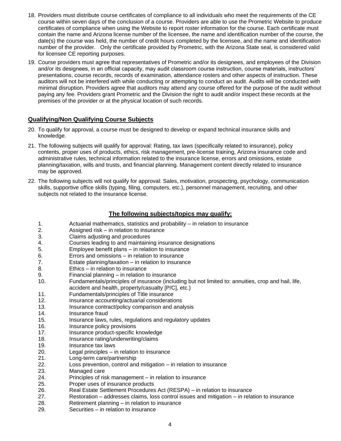- 18. Providers must distribute course certificates of compliance to all individuals who meet the requirements of the CE course within seven days of the conclusion of a course. Providers are able to use the Prometric Website to produce certificates of compliance when using the Website to report roster information for the course. Each certificate must contain the name and Arizona license number of the licensee, the name and identification number of the course, the date(s) the course was held, the number of credit hours completed by the licensee, and the name and identification number of the provider. Only the certificate provided by Prometric, with the Arizona State seal, is considered valid for licensee CE reporting purposes.
- 19. Course providers must agree that representatives of Prometric and/or its designees, and employees of the Division and/or its designees, in an official capacity, may audit classroom course instruction, course materials, instructors' presentations, course records, records of examination, attendance rosters and other aspects of instruction. These auditors will not be interfered with while conducting or attempting to conduct an audit. Audits will be conducted with minimal disruption. Providers agree that auditors may attend any course offered for the purpose of the audit without paying any fee. Providers grant Prometric and the Division the right to audit and/or inspect these records at the premises of the provider or at the physical location of such records.

# **Qualifying/Non Qualifying Course Subjects**

- 20. To qualify for approval, a course must be designed to develop or expand technical insurance skills and knowledge.
- 21. The following subjects will qualify for approval: Rating, tax laws (specifically related to insurance), policy contents, proper uses of products, ethics, risk management, pre-license training, Arizona insurance code and administrative rules, technical information related to the insurance license, errors and omissions, estate planning/taxation, wills and trusts, and financial planning. Management content directly related to insurance may be approved.
- 22. The following subjects will not qualify for approval: Sales, motivation, prospecting, psychology, communication skills, supportive office skills (typing, filing, computers, etc.), personnel management, recruiting, and other subjects not related to the insurance license.

#### **The following subjects/topics may qualify:**

- 1. Actuarial mathematics, statistics and probability in relation to insurance
- 2. Assigned risk in relation to insurance
- 3. Claims adjusting and procedures
- 4. Courses leading to and maintaining insurance designations
- 5. Employee benefit plans in relation to insurance
- 6. Errors and omissions in relation to insurance
- 7. Estate planning/taxation in relation to insurance
- 8. Ethics in relation to insurance
- 9. Financial planning in relation to insurance
- 10. Fundamentals/principles of insurance (including but not limited to: annuities, crop and hail, life, accident and health, property/casualty [P/C], etc.)
- 11. Fundamentals/principles of Title insurance
- 12. Insurance accounting/actuarial considerations
- 13. Insurance contract/policy comparison and analysis
- 14. Insurance fraud
- 15. Insurance laws, rules, regulations and regulatory updates
- 16. Insurance policy provisions
- 17. Insurance product-specific knowledge
- 18. Insurance rating/underwriting/claims
- 19. Insurance tax laws
- 20. Legal principles in relation to insurance
- 21. Long-term care/partnership
- 22. Loss prevention, control and mitigation in relation to insurance
- 23. Managed care
- 24. Principles of risk management in relation to insurance
- 25. Proper uses of insurance products
- 26. Real Estate Settlement Procedures Act (RESPA) in relation to insurance
- 27. Restoration addresses claims, loss control issues and mitigation in relation to insurance
- 28. Retirement planning in relation to insurance
- 29. Securities in relation to insurance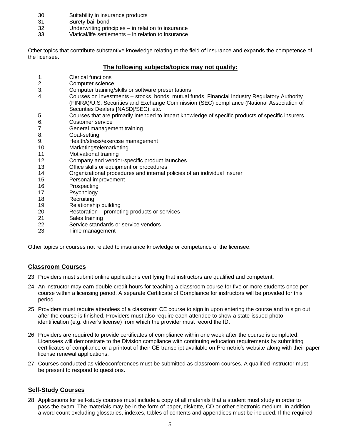- 30. Suitability in insurance products
- 31. Surety bail bond
- 32. Underwriting principles in relation to insurance
- 33. Viatical/life settlements in relation to insurance

Other topics that contribute substantive knowledge relating to the field of insurance and expands the competence of the licensee.

#### **The following subjects/topics may not qualify:**

- 1. Clerical functions
- 2. Computer science
- 3. Computer training/skills or software presentations
- 4. Courses on investments stocks, bonds, mutual funds, Financial Industry Regulatory Authority (FINRA)/U.S. Securities and Exchange Commission (SEC) compliance (National Association of Securities Dealers [NASD]/SEC), etc.
- 5. Courses that are primarily intended to impart knowledge of specific products of specific insurers
- 6. Customer service
- 7. General management training
- 8. Goal-setting
- 9. Health/stress/exercise management
- 10. Marketing/telemarketing
- 11. Motivational training
- 12. Company and vendor-specific product launches
- 13. Office skills or equipment or procedures
- 14. Organizational procedures and internal policies of an individual insurer
- 15. Personal improvement
- 16. Prospecting
- 17. Psychology
- 18. Recruiting
- 19. Relationship building
- 20. Restoration promoting products or services
- 21. Sales training
- 22. Service standards or service vendors
- 23. Time management

Other topics or courses not related to insurance knowledge or competence of the licensee.

#### **Classroom Courses**

- 23. Providers must submit online applications certifying that instructors are qualified and competent.
- 24. An instructor may earn double credit hours for teaching a classroom course for five or more students once per course within a licensing period. A separate Certificate of Compliance for instructors will be provided for this period.
- 25. Providers must require attendees of a classroom CE course to sign in upon entering the course and to sign out after the course is finished. Providers must also require each attendee to show a state-issued photo identification (e.g. driver's license) from which the provider must record the ID.
- 26. Providers are required to provide certificates of compliance within one week after the course is completed. Licensees will demonstrate to the Division compliance with continuing education requirements by submitting certificates of compliance or a printout of their CE transcript available on Prometric's website along with their paper license renewal applications.
- 27. Courses conducted as videoconferences must be submitted as classroom courses. A qualified instructor must be present to respond to questions.

# **Self-Study Courses**

28. Applications for self-study courses must include a copy of all materials that a student must study in order to pass the exam. The materials may be in the form of paper, diskette, CD or other electronic medium. In addition, a word count excluding glossaries, indexes, tables of contents and appendices must be included. If the required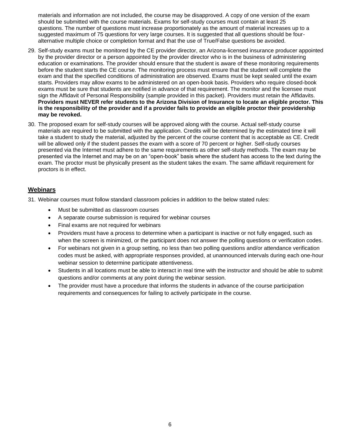materials and information are not included, the course may be disapproved. A copy of one version of the exam should be submitted with the course materials. Exams for self-study courses must contain at least 25 questions. The number of questions must increase proportionately as the amount of material increases up to a suggested maximum of 75 questions for very large courses. It is suggested that all questions should be fouralternative multiple choice or completion format and that the use of True/False questions be avoided.

- 29. Self-study exams must be monitored by the CE provider director, an Arizona-licensed insurance producer appointed by the provider director or a person appointed by the provider director who is in the business of administering education or examinations. The provider should ensure that the student is aware of these monitoring requirements before the student starts the CE course. The monitoring process must ensure that the student will complete the exam and that the specified conditions of administration are observed. Exams must be kept sealed until the exam starts. Providers may allow exams to be administered on an open-book basis. Providers who require closed-book exams must be sure that students are notified in advance of that requirement. The monitor and the licensee must sign the Affidavit of Personal Responsibility (sample provided in this packet). Providers must retain the Affidavits. **Providers must NEVER refer students to the Arizona Division of Insurance to locate an eligible proctor. This is the responsibility of the provider and if a provider fails to provide an eligible proctor their providership may be revoked.**
- 30. The proposed exam for self-study courses will be approved along with the course. Actual self-study course materials are required to be submitted with the application. Credits will be determined by the estimated time it will take a student to study the material, adjusted by the percent of the course content that is acceptable as CE. Credit will be allowed only if the student passes the exam with a score of 70 percent or higher. Self-study courses presented via the Internet must adhere to the same requirements as other self-study methods. The exam may be presented via the Internet and may be on an "open-book" basis where the student has access to the text during the exam. The proctor must be physically present as the student takes the exam. The same affidavit requirement for proctors is in effect.

# **Webinars**

31. Webinar courses must follow standard classroom policies in addition to the below stated rules:

- Must be submitted as classroom courses
- A separate course submission is required for webinar courses
- Final exams are not required for webinars
- Providers must have a process to determine when a participant is inactive or not fully engaged, such as when the screen is minimized, or the participant does not answer the polling questions or verification codes.
- For webinars not given in a group setting, no less than two polling questions and/or attendance verification codes must be asked, with appropriate responses provided, at unannounced intervals during each one-hour webinar session to determine participate attentiveness.
- Students in all locations must be able to interact in real time with the instructor and should be able to submit questions and/or comments at any point during the webinar session.
- The provider must have a procedure that informs the students in advance of the course participation requirements and consequences for failing to actively participate in the course.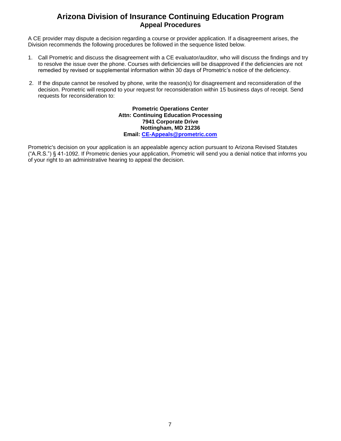# **Arizona Division of Insurance Continuing Education Program Appeal Procedures**

A CE provider may dispute a decision regarding a course or provider application. If a disagreement arises, the Division recommends the following procedures be followed in the sequence listed below.

- 1. Call Prometric and discuss the disagreement with a CE evaluator/auditor, who will discuss the findings and try to resolve the issue over the phone. Courses with deficiencies will be disapproved if the deficiencies are not remedied by revised or supplemental information within 30 days of Prometric's notice of the deficiency.
- 2. If the dispute cannot be resolved by phone, write the reason(s) for disagreement and reconsideration of the decision. Prometric will respond to your request for reconsideration within 15 business days of receipt. Send requests for reconsideration to:

**Prometric Operations Center Attn: Continuing Education Processing 7941 Corporate Drive Nottingham, MD 21236 Email: [CE-Appeals@prometric.com](mailto:CE-Appeals@prometric.com)**

Prometric's decision on your application is an appealable agency action pursuant to Arizona Revised Statutes ("A.R.S.") § 41-1092. If Prometric denies your application, Prometric will send you a denial notice that informs you of your right to an administrative hearing to appeal the decision.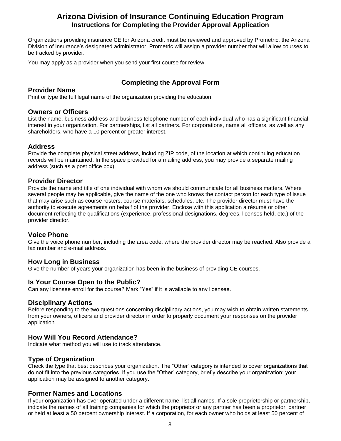# **Arizona Division of Insurance Continuing Education Program Instructions for Completing the Provider Approval Application**

Organizations providing insurance CE for Arizona credit must be reviewed and approved by Prometric, the Arizona Division of Insurance's designated administrator. Prometric will assign a provider number that will allow courses to be tracked by provider.

You may apply as a provider when you send your first course for review.

# **Completing the Approval Form**

# **Provider Name**

Print or type the full legal name of the organization providing the education.

#### **Owners or Officers**

List the name, business address and business telephone number of each individual who has a significant financial interest in your organization. For partnerships, list all partners. For corporations, name all officers, as well as any shareholders, who have a 10 percent or greater interest.

#### **Address**

Provide the complete physical street address, including ZIP code, of the location at which continuing education records will be maintained. In the space provided for a mailing address, you may provide a separate mailing address (such as a post office box).

#### **Provider Director**

Provide the name and title of one individual with whom we should communicate for all business matters. Where several people may be applicable, give the name of the one who knows the contact person for each type of issue that may arise such as course rosters, course materials, schedules, etc. The provider director must have the authority to execute agreements on behalf of the provider. Enclose with this application a résumé or other document reflecting the qualifications (experience, professional designations, degrees, licenses held, etc.) of the provider director.

# **Voice Phone**

Give the voice phone number, including the area code, where the provider director may be reached. Also provide a fax number and e-mail address.

# **How Long in Business**

Give the number of years your organization has been in the business of providing CE courses.

# **Is Your Course Open to the Public?**

Can any licensee enroll for the course? Mark "Yes" if it is available to any licensee.

# **Disciplinary Actions**

Before responding to the two questions concerning disciplinary actions, you may wish to obtain written statements from your owners, officers and provider director in order to properly document your responses on the provider application.

# **How Will You Record Attendance?**

Indicate what method you will use to track attendance.

# **Type of Organization**

Check the type that best describes your organization. The "Other" category is intended to cover organizations that do not fit into the previous categories. If you use the "Other" category, briefly describe your organization; your application may be assigned to another category.

# **Former Names and Locations**

If your organization has ever operated under a different name, list all names. If a sole proprietorship or partnership, indicate the names of all training companies for which the proprietor or any partner has been a proprietor, partner or held at least a 50 percent ownership interest. If a corporation, for each owner who holds at least 50 percent of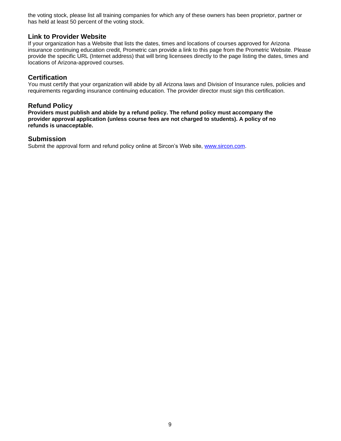the voting stock, please list all training companies for which any of these owners has been proprietor, partner or has held at least 50 percent of the voting stock.

# **Link to Provider Website**

If your organization has a Website that lists the dates, times and locations of courses approved for Arizona insurance continuing education credit, Prometric can provide a link to this page from the Prometric Website. Please provide the specific URL (Internet address) that will bring licensees directly to the page listing the dates, times and locations of Arizona-approved courses.

# **Certification**

You must certify that your organization will abide by all Arizona laws and Division of Insurance rules, policies and requirements regarding insurance continuing education. The provider director must sign this certification.

# **Refund Policy**

**Providers must publish and abide by a refund policy. The refund policy must accompany the provider approval application (unless course fees are not charged to students). A policy of no refunds is unacceptable.**

#### **Submission**

Submit the approval form and refund policy online at Sircon's Web site, [www.sircon.com.](http://www.sircon.com/)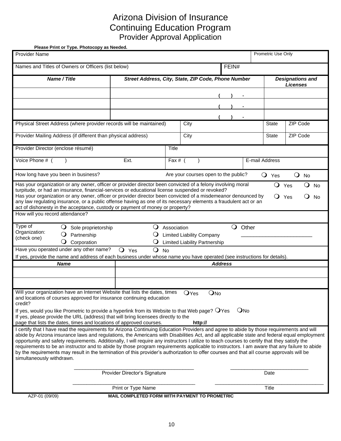# Arizona Division of Insurance Continuing Education Program Provider Approval Application

<span id="page-11-0"></span> **Please Print or Type. Photocopy as Needed.**

| <b>Provider Name</b>                                                                                                                                                                                                                                                                                                                                                                                                                                                                                                                                                                                                                                                                                                                                              |                                                   |                                                     |              |                                                                          |                 |          |                                            | Prometric Use Only  |                 |    |           |
|-------------------------------------------------------------------------------------------------------------------------------------------------------------------------------------------------------------------------------------------------------------------------------------------------------------------------------------------------------------------------------------------------------------------------------------------------------------------------------------------------------------------------------------------------------------------------------------------------------------------------------------------------------------------------------------------------------------------------------------------------------------------|---------------------------------------------------|-----------------------------------------------------|--------------|--------------------------------------------------------------------------|-----------------|----------|--------------------------------------------|---------------------|-----------------|----|-----------|
| Names and Titles of Owners or Officers (list below)                                                                                                                                                                                                                                                                                                                                                                                                                                                                                                                                                                                                                                                                                                               |                                                   |                                                     |              |                                                                          |                 | FEIN#    |                                            |                     |                 |    |           |
| Name / Title                                                                                                                                                                                                                                                                                                                                                                                                                                                                                                                                                                                                                                                                                                                                                      |                                                   | Street Address, City, State, ZIP Code, Phone Number |              |                                                                          |                 |          | <b>Designations and</b><br><b>Licenses</b> |                     |                 |    |           |
|                                                                                                                                                                                                                                                                                                                                                                                                                                                                                                                                                                                                                                                                                                                                                                   |                                                   |                                                     |              |                                                                          |                 |          |                                            |                     |                 |    |           |
|                                                                                                                                                                                                                                                                                                                                                                                                                                                                                                                                                                                                                                                                                                                                                                   |                                                   |                                                     |              |                                                                          |                 |          |                                            |                     |                 |    |           |
|                                                                                                                                                                                                                                                                                                                                                                                                                                                                                                                                                                                                                                                                                                                                                                   |                                                   |                                                     |              |                                                                          |                 |          |                                            |                     |                 |    |           |
| Physical Street Address (where provider records will be maintained)                                                                                                                                                                                                                                                                                                                                                                                                                                                                                                                                                                                                                                                                                               |                                                   |                                                     |              | City                                                                     |                 |          |                                            | <b>State</b>        | ZIP Code        |    |           |
| Provider Mailing Address (if different than physical address)                                                                                                                                                                                                                                                                                                                                                                                                                                                                                                                                                                                                                                                                                                     |                                                   |                                                     |              | City                                                                     |                 |          |                                            | <b>State</b>        | <b>ZIP Code</b> |    |           |
| Provider Director (enclose résumé)                                                                                                                                                                                                                                                                                                                                                                                                                                                                                                                                                                                                                                                                                                                                |                                                   |                                                     | <b>Title</b> |                                                                          |                 |          |                                            |                     |                 |    |           |
| Voice Phone # (                                                                                                                                                                                                                                                                                                                                                                                                                                                                                                                                                                                                                                                                                                                                                   |                                                   | Ext.                                                | Fax # $($    |                                                                          |                 |          |                                            | E-mail Address      |                 |    |           |
| How long have you been in business?                                                                                                                                                                                                                                                                                                                                                                                                                                                                                                                                                                                                                                                                                                                               |                                                   |                                                     |              | Are your courses open to the public?                                     |                 |          |                                            | $\mathbf{O}$<br>Yes | $\bigcirc$      | No |           |
| Has your organization or any owner, officer or provider director been convicted of a felony involving moral<br>turpitude, or had an insurance, financial-services or educational license suspended or revoked?                                                                                                                                                                                                                                                                                                                                                                                                                                                                                                                                                    |                                                   |                                                     |              |                                                                          |                 |          |                                            | $\mathbf{O}$        | Yes             | Q  | <b>No</b> |
| Has your organization or any owner, officer or provider director been convicted of a misdemeanor denounced by<br>any law regulating insurance, or a public offense having as one of its necessary elements a fraudulent act or an<br>act of dishonesty in the acceptance, custody or payment of money or property?                                                                                                                                                                                                                                                                                                                                                                                                                                                |                                                   |                                                     |              |                                                                          |                 |          |                                            | $\Omega$            | Yes             |    | No        |
| How will you record attendance?                                                                                                                                                                                                                                                                                                                                                                                                                                                                                                                                                                                                                                                                                                                                   |                                                   |                                                     |              |                                                                          |                 |          |                                            |                     |                 |    |           |
| Type of<br>$\mathbf\Omega$<br>Organization:<br>Ő<br>(check one)<br>Ő                                                                                                                                                                                                                                                                                                                                                                                                                                                                                                                                                                                                                                                                                              | Sole proprietorship<br>Partnership<br>Corporation | $\cup$                                              | Association  | <b>Limited Liability Company</b><br><b>Limited Liability Partnership</b> |                 | $\circ$  | Other                                      |                     |                 |    |           |
| Have you operated under any other name?<br>If yes, provide the name and address of each business under whose name you have operated (see instructions for details).                                                                                                                                                                                                                                                                                                                                                                                                                                                                                                                                                                                               |                                                   | O Yes<br>$\circ$                                    | <b>No</b>    |                                                                          |                 |          |                                            |                     |                 |    |           |
| <b>Name</b>                                                                                                                                                                                                                                                                                                                                                                                                                                                                                                                                                                                                                                                                                                                                                       |                                                   |                                                     |              |                                                                          | <b>Address</b>  |          |                                            |                     |                 |    |           |
|                                                                                                                                                                                                                                                                                                                                                                                                                                                                                                                                                                                                                                                                                                                                                                   |                                                   |                                                     |              |                                                                          |                 |          |                                            |                     |                 |    |           |
|                                                                                                                                                                                                                                                                                                                                                                                                                                                                                                                                                                                                                                                                                                                                                                   |                                                   |                                                     |              |                                                                          |                 |          |                                            |                     |                 |    |           |
| Will your organization have an Internet Website that lists the dates, times<br>and locations of courses approved for insurance continuing education<br>credit?                                                                                                                                                                                                                                                                                                                                                                                                                                                                                                                                                                                                    |                                                   |                                                     |              | OYes                                                                     | QN <sub>0</sub> |          |                                            |                     |                 |    |           |
| If yes, would you like Prometric to provide a hyperlink from its Website to that Web page? $\Box$ Yes<br>If yes, please provide the URL (address) that will bring licensees directly to the<br>page that lists the dates, times and locations of approved courses.                                                                                                                                                                                                                                                                                                                                                                                                                                                                                                |                                                   |                                                     |              | http://                                                                  |                 | $Q_{N0}$ |                                            |                     |                 |    |           |
| I certify that I have read the requirements for Arizona Continuing Education Providers and agree to abide by those requirements and will<br>abide by Arizona insurance laws and regulations, the Americans with Disabilities Act, and all applicable state and federal equal employment<br>opportunity and safety requirements. Additionally, I will require any instructors I utilize to teach courses to certify that they satisfy the<br>requirements to be an instructor and to abide by those program requirements applicable to instructors. I am aware that any failure to abide<br>by the requirements may result in the termination of this provider's authorization to offer courses and that all course approvals will be<br>simultaneously withdrawn. |                                                   |                                                     |              |                                                                          |                 |          |                                            |                     |                 |    |           |
|                                                                                                                                                                                                                                                                                                                                                                                                                                                                                                                                                                                                                                                                                                                                                                   |                                                   | Provider Director's Signature                       |              |                                                                          |                 |          |                                            | Date                |                 |    |           |
|                                                                                                                                                                                                                                                                                                                                                                                                                                                                                                                                                                                                                                                                                                                                                                   |                                                   | Print or Type Name                                  |              |                                                                          |                 |          |                                            | Title               |                 |    |           |
| AZP-01 (09/09)                                                                                                                                                                                                                                                                                                                                                                                                                                                                                                                                                                                                                                                                                                                                                    |                                                   | MAIL COMPLETED FORM WITH PAYMENT TO PROMETRIC       |              |                                                                          |                 |          |                                            |                     |                 |    |           |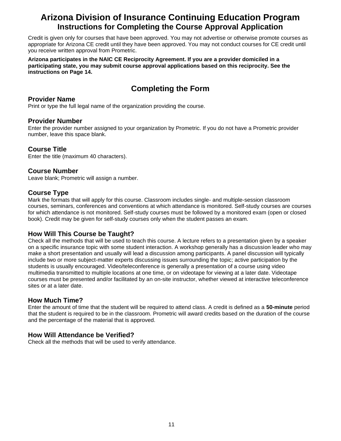# **Arizona Division of Insurance Continuing Education Program Instructions for Completing the Course Approval Application**

Credit is given only for courses that have been approved. You may not advertise or otherwise promote courses as appropriate for Arizona CE credit until they have been approved. You may not conduct courses for CE credit until you receive written approval from Prometric.

**Arizona participates in the NAIC CE Reciprocity Agreement. If you are a provider domiciled in a participating state, you may submit course approval applications based on this reciprocity. See the instructions on Page 14.**

# **Completing the Form**

### **Provider Name**

Print or type the full legal name of the organization providing the course.

# **Provider Number**

Enter the provider number assigned to your organization by Prometric. If you do not have a Prometric provider number, leave this space blank.

# **Course Title**

Enter the title (maximum 40 characters).

# **Course Number**

Leave blank; Prometric will assign a number.

# **Course Type**

Mark the formats that will apply for this course. Classroom includes single- and multiple-session classroom courses, seminars, conferences and conventions at which attendance is monitored. Self-study courses are courses for which attendance is not monitored. Self-study courses must be followed by a monitored exam (open or closed book). Credit may be given for self-study courses only when the student passes an exam.

# **How Will This Course be Taught?**

Check all the methods that will be used to teach this course. A lecture refers to a presentation given by a speaker on a specific insurance topic with some student interaction. A workshop generally has a discussion leader who may make a short presentation and usually will lead a discussion among participants. A panel discussion will typically include two or more subject-matter experts discussing issues surrounding the topic; active participation by the students is usually encouraged. Video/teleconference is generally a presentation of a course using video multimedia transmitted to multiple locations at one time, or on videotape for viewing at a later date. Videotape courses must be presented and/or facilitated by an on-site instructor, whether viewed at interactive teleconference sites or at a later date.

# **How Much Time?**

Enter the amount of time that the student will be required to attend class. A credit is defined as a **50-minute** period that the student is required to be in the classroom. Prometric will award credits based on the duration of the course and the percentage of the material that is approved.

# **How Will Attendance be Verified?**

Check all the methods that will be used to verify attendance.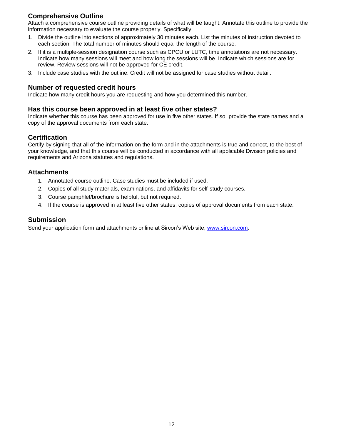# **Comprehensive Outline**

Attach a comprehensive course outline providing details of what will be taught. Annotate this outline to provide the information necessary to evaluate the course properly. Specifically:

- 1. Divide the outline into sections of approximately 30 minutes each. List the minutes of instruction devoted to each section. The total number of minutes should equal the length of the course.
- 2. If it is a multiple-session designation course such as CPCU or LUTC, time annotations are not necessary. Indicate how many sessions will meet and how long the sessions will be. Indicate which sessions are for review. Review sessions will not be approved for CE credit.
- 3. Include case studies with the outline. Credit will not be assigned for case studies without detail.

# **Number of requested credit hours**

Indicate how many credit hours you are requesting and how you determined this number.

#### **Has this course been approved in at least five other states?**

Indicate whether this course has been approved for use in five other states. If so, provide the state names and a copy of the approval documents from each state.

# **Certification**

Certify by signing that all of the information on the form and in the attachments is true and correct, to the best of your knowledge, and that this course will be conducted in accordance with all applicable Division policies and requirements and Arizona statutes and regulations.

# **Attachments**

- 1. Annotated course outline. Case studies must be included if used.
- 2. Copies of all study materials, examinations, and affidavits for self-study courses.
- 3. Course pamphlet/brochure is helpful, but not required.
- 4. If the course is approved in at least five other states, copies of approval documents from each state.

#### **Submission**

Send your application form and attachments online at Sircon's Web site, [www.sircon.com](http://www.sircon.com/).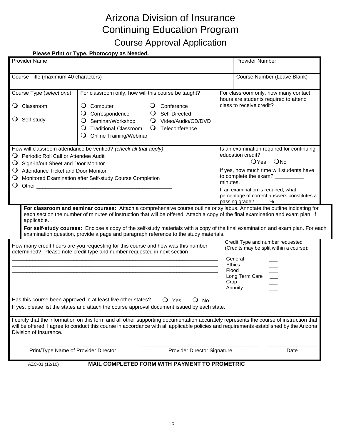# Arizona Division of Insurance Continuing Education Program Course Approval Application

# <span id="page-14-0"></span> **Please Print or Type. Photocopy as Needed.**

| <b>Provider Name</b>                                                                                                                 |                                                                                                                                                                                                                                                                                                                                                                |                                                                                                                              | <b>Provider Number</b>                                                                                                                                                                                                                                                                                                                                                                           |
|--------------------------------------------------------------------------------------------------------------------------------------|----------------------------------------------------------------------------------------------------------------------------------------------------------------------------------------------------------------------------------------------------------------------------------------------------------------------------------------------------------------|------------------------------------------------------------------------------------------------------------------------------|--------------------------------------------------------------------------------------------------------------------------------------------------------------------------------------------------------------------------------------------------------------------------------------------------------------------------------------------------------------------------------------------------|
| Course Title (maximum 40 characters)                                                                                                 |                                                                                                                                                                                                                                                                                                                                                                |                                                                                                                              | Course Number (Leave Blank)                                                                                                                                                                                                                                                                                                                                                                      |
| Course Type (select one):<br>Classroom<br>O.<br>$\bigcirc$ Self-study                                                                | For classroom only, how will this course be taught?<br>$\overline{Q}$ Computer<br>Correspondence<br>Seminar/Workshop<br><b>Traditional Classroom</b><br>$\cup$<br>Online Training/Webinar<br>$\cup$                                                                                                                                                            | Conference<br>Self-Directed<br>$\cup$<br>Video/Audio/CD/DVD<br>$\circ$<br>Teleconference<br>$\circ$                          | For classroom only, how many contact<br>hours are students required to attend<br>class to receive credit?                                                                                                                                                                                                                                                                                        |
| Periodic Roll Call or Attendee Audit<br>◡<br>Sign-in/out Sheet and Door Monitor<br>$\cup$<br>Attendance Ticket and Door Monitor<br>◡ | How will classroom attendance be verified? (check all that apply)<br>Monitored Examination after Self-study Course Completion<br>Other contracts and contracts are all the contracts of the contracts of the contracts of the contracts of the contracts of the contracts of the contracts of the contracts of the contracts of the contracts of the contracts |                                                                                                                              | Is an examination required for continuing<br>education credit?<br>OYes ONo<br>If yes, how much time will students have<br>to complete the exam? _________<br>minutes.<br>If an examination is required, what<br>percentage of correct answers constitutes a<br>passing grade?<br>%                                                                                                               |
| applicable.                                                                                                                          |                                                                                                                                                                                                                                                                                                                                                                | examination question, provide a page and paragraph reference to the study materials.                                         | For classroom and seminar courses: Attach a comprehensive course outline or syllabus. Annotate the outline indicating for<br>each section the number of minutes of instruction that will be offered. Attach a copy of the final examination and exam plan, if<br>For self-study courses: Enclose a copy of the self-study materials with a copy of the final examination and exam plan. For each |
|                                                                                                                                      | How many credit hours are you requesting for this course and how was this number<br>determined? Please note credit type and number requested in next section                                                                                                                                                                                                   |                                                                                                                              | Credit Type and number requested<br>(Credits may be split within a course):<br>General<br><b>Ethics</b><br>Flood<br>Long Term Care<br>Crop<br>Annuity                                                                                                                                                                                                                                            |
| Division of Insurance.                                                                                                               | Has this course been approved in at least five other states?                                                                                                                                                                                                                                                                                                   | $Q$ Yes<br>$\overline{O}$ No<br>If yes, please list the states and attach the course approval document issued by each state. | I certify that the information on this form and all other supporting documentation accurately represents the course of instruction that<br>will be offered. I agree to conduct this course in accordance with all applicable policies and requirements established by the Arizona                                                                                                                |
| Print/Type Name of Provider Director                                                                                                 |                                                                                                                                                                                                                                                                                                                                                                | Provider Director Signature                                                                                                  | Date                                                                                                                                                                                                                                                                                                                                                                                             |
| AZC-01 (12/10)                                                                                                                       |                                                                                                                                                                                                                                                                                                                                                                | MAIL COMPLETED FORM WITH PAYMENT TO PROMETRIC                                                                                |                                                                                                                                                                                                                                                                                                                                                                                                  |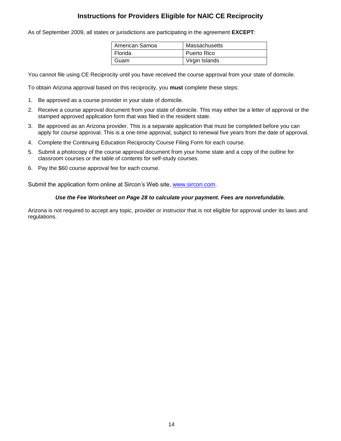# **Instructions for Providers Eligible for NAIC CE Reciprocity**

As of September 2009, all states or jurisdictions are participating in the agreement **EXCEPT**:

| American Samoa | Massachusetts  |
|----------------|----------------|
| Florida        | Puerto Rico    |
| Guam           | Virgin Islands |

You cannot file using CE Reciprocity until you have received the course approval from your state of domicile.

To obtain Arizona approval based on this reciprocity, you **must** complete these steps:

- 1. Be approved as a course provider in your state of domicile.
- 2. Receive a course approval document from your state of domicile. This may either be a letter of approval or the stamped approved application form that was filed in the resident state.
- 3. Be approved as an Arizona provider. This is a separate application that must be completed before you can apply for course approval. This is a one-time approval, subject to renewal five years from the date of approval.
- 4. Complete the Continuing Education Reciprocity Course Filing Form for each course.
- 5. Submit a photocopy of the course approval document from your home state and a copy of the outline for classroom courses or the table of contents for self-study courses.
- 6. Pay the \$60 course approval fee for each course.

Submit the application form online at Sircon's Web site, [www.sircon.com.](http://www.sircon.com/)

#### *Use the Fee Worksheet on Page 28 to calculate your payment. Fees are nonrefundable.*

Arizona is not required to accept any topic, provider or instructor that is not eligible for approval under its laws and regulations.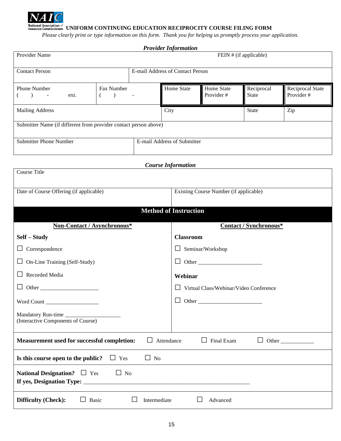

**National Association of**<br>Insurance Commissioners UNIFORM CONTINUING EDUCATION RECIPROCITY COURSE FILING FORM

<span id="page-16-0"></span>*Please clearly print or type information on this form. Thank you for helping us promptly process your application.* 

|                                                                                                   |                                                    |           | <b>Provider Information</b>      |                                               |                            |                                |  |  |
|---------------------------------------------------------------------------------------------------|----------------------------------------------------|-----------|----------------------------------|-----------------------------------------------|----------------------------|--------------------------------|--|--|
| Provider Name                                                                                     |                                                    |           |                                  |                                               | FEIN # (if applicable)     |                                |  |  |
| <b>Contact Person</b>                                                                             |                                                    |           | E-mail Address of Contact Person |                                               |                            |                                |  |  |
| Phone Number<br>$\rightarrow$<br>$\sim 100$<br>ext.                                               | Fax Number<br>$\overline{\phantom{a}}$<br>$\left($ |           | Home State                       | Home State<br>Provider#                       | Reciprocal<br><b>State</b> | Reciprocal State<br>Provider # |  |  |
| <b>Mailing Address</b>                                                                            |                                                    |           | City<br><b>State</b><br>Zip      |                                               |                            |                                |  |  |
| Submitter Name (if different from provider contact person above)                                  |                                                    |           |                                  |                                               |                            |                                |  |  |
| <b>Submitter Phone Number</b>                                                                     |                                                    |           | E-mail Address of Submitter      |                                               |                            |                                |  |  |
|                                                                                                   |                                                    |           | <b>Course</b> Information        |                                               |                            |                                |  |  |
| <b>Course Title</b>                                                                               |                                                    |           |                                  |                                               |                            |                                |  |  |
| Date of Course Offering (if applicable)                                                           |                                                    |           |                                  | Existing Course Number (if applicable)        |                            |                                |  |  |
|                                                                                                   |                                                    |           | <b>Method of Instruction</b>     |                                               |                            |                                |  |  |
| Non-Contact / Asynchronous*                                                                       |                                                    |           |                                  |                                               | Contact / Synchronous*     |                                |  |  |
| Self - Study                                                                                      |                                                    |           | <b>Classroom</b>                 |                                               |                            |                                |  |  |
| Correspondence<br>Ц                                                                               |                                                    |           |                                  | $\Box$ Seminar/Workshop                       |                            |                                |  |  |
| On-Line Training (Self-Study)                                                                     |                                                    |           |                                  | $\Box$ Other                                  |                            |                                |  |  |
| Recorded Media                                                                                    |                                                    |           | Webinar                          |                                               |                            |                                |  |  |
| Other                                                                                             |                                                    |           |                                  | $\Box$ Virtual Class/Webinar/Video Conference |                            |                                |  |  |
| Word Count                                                                                        |                                                    |           | $\Box$                           |                                               |                            |                                |  |  |
| Mandatory Run-time<br>(Interactive Components of Course)                                          |                                                    |           |                                  |                                               |                            |                                |  |  |
| Measurement used for successful completion:<br>$\Box$<br>Attendance<br>$\Box$ Final Exam<br>Other |                                                    |           |                                  |                                               |                            |                                |  |  |
| Is this course open to the public?                                                                | $\Box$ Yes                                         | $\Box$ No |                                  |                                               |                            |                                |  |  |
| National Designation? $\Box$ Yes<br>$\Box$ No<br>If yes, Designation Type: ___________            |                                                    |           |                                  |                                               |                            |                                |  |  |
| Difficulty (Check):<br>Basic<br>Intermediate<br>$\Box$<br>ப<br>Advanced                           |                                                    |           |                                  |                                               |                            |                                |  |  |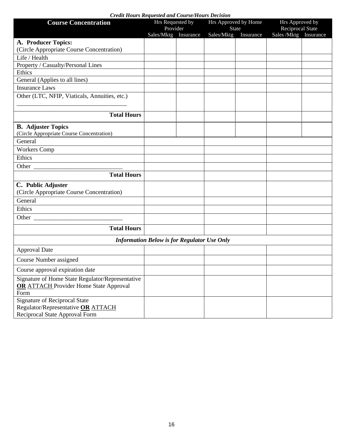| Creau Hours Requesied and Course/Hours Decision<br><b>Course Concentration</b>                               | Hrs Requested by<br>Provider                       |            | Hrs Approved by Home<br>State | Hrs Approved by<br>Reciprocal State |  |  |
|--------------------------------------------------------------------------------------------------------------|----------------------------------------------------|------------|-------------------------------|-------------------------------------|--|--|
|                                                                                                              | Sales/Mktg Insurance                               | Sales/Mktg | Insurance                     | Sales /Mktg Insurance               |  |  |
| A. Producer Topics:                                                                                          |                                                    |            |                               |                                     |  |  |
| (Circle Appropriate Course Concentration)                                                                    |                                                    |            |                               |                                     |  |  |
| Life / Health                                                                                                |                                                    |            |                               |                                     |  |  |
| Property / Casualty/Personal Lines                                                                           |                                                    |            |                               |                                     |  |  |
| Ethics                                                                                                       |                                                    |            |                               |                                     |  |  |
| General (Applies to all lines)                                                                               |                                                    |            |                               |                                     |  |  |
| <b>Insurance Laws</b>                                                                                        |                                                    |            |                               |                                     |  |  |
| Other (LTC, NFIP, Viaticals, Annuities, etc.)                                                                |                                                    |            |                               |                                     |  |  |
| <b>Total Hours</b>                                                                                           |                                                    |            |                               |                                     |  |  |
| <b>B.</b> Adjuster Topics                                                                                    |                                                    |            |                               |                                     |  |  |
| (Circle Appropriate Course Concentration)                                                                    |                                                    |            |                               |                                     |  |  |
| General                                                                                                      |                                                    |            |                               |                                     |  |  |
| <b>Workers Comp</b>                                                                                          |                                                    |            |                               |                                     |  |  |
| Ethics                                                                                                       |                                                    |            |                               |                                     |  |  |
|                                                                                                              |                                                    |            |                               |                                     |  |  |
| <b>Total Hours</b>                                                                                           |                                                    |            |                               |                                     |  |  |
| C. Public Adjuster                                                                                           |                                                    |            |                               |                                     |  |  |
| (Circle Appropriate Course Concentration)                                                                    |                                                    |            |                               |                                     |  |  |
| General                                                                                                      |                                                    |            |                               |                                     |  |  |
| Ethics                                                                                                       |                                                    |            |                               |                                     |  |  |
|                                                                                                              |                                                    |            |                               |                                     |  |  |
| <b>Total Hours</b>                                                                                           |                                                    |            |                               |                                     |  |  |
|                                                                                                              | <b>Information Below is for Regulator Use Only</b> |            |                               |                                     |  |  |
| <b>Approval Date</b>                                                                                         |                                                    |            |                               |                                     |  |  |
| Course Number assigned                                                                                       |                                                    |            |                               |                                     |  |  |
| Course approval expiration date                                                                              |                                                    |            |                               |                                     |  |  |
| Signature of Home State Regulator/Representative<br><b>OR ATTACH Provider Home State Approval</b><br>Form    |                                                    |            |                               |                                     |  |  |
| <b>Signature of Reciprocal State</b><br>Regulator/Representative OR ATTACH<br>Reciprocal State Approval Form |                                                    |            |                               |                                     |  |  |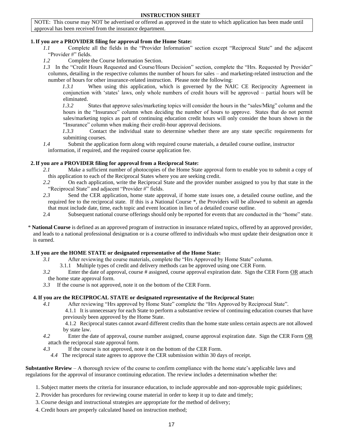#### **INSTRUCTION SHEET**

NOTE: This course may NOT be advertised or offered as approved in the state to which application has been made until approval has been received from the insurance department.

#### **1.If you are a PROVIDER filing for approval from the Home State:**

- *1.1* Complete all the fields in the "Provider Information" section except "Reciprocal State" and the adjacent "Provider #" fields.
- *1.2* Complete the Course Information Section.
- *1.3* In the "Credit Hours Requested and Course/Hours Decision" section, complete the "Hrs. Requested by Provider" columns, detailing in the respective columns the number of hours for sales – and marketing-related instruction and the number of hours for other insurance-related instruction. Please note the following:

 *1.3.1* When using this application, which is governed by the NAIC CE Reciprocity Agreement in conjunction with 'states' laws, only whole numbers of credit hours will be approved – partial hours will be eliminated.

 *1.3.2* States that approve sales/marketing topics will consider the hours in the "sales/Mktg" column and the hours in the "Insurance" column when deciding the number of hours to approve. States that do not permit sales/marketing topics as part of continuing education credit hours will only consider the hours shown in the "Insurance" column when making their credit-hour approval decisions.

 *1.3.3* Contact the individual state to determine whether there are any state specific requirements for submitting courses.

*1.4* Submit the application form along with required course materials, a detailed course outline, instructor information, if required, and the required course application fee.

#### **2.If you are a PROVIDER filing for approval from a Reciprocal State:**

- *2.1* Make a sufficient number of photocopies of the Home State approval form to enable you to submit a copy of this application to each of the Reciprocal States where you are seeking credit.
- *2.2* On each application, write the Reciprocal State and the provider number assigned to you by that state in the "Reciprocal State" and adjacent "Provider #" fields.
- *2.3* Send the CER application, home state approval, if home state issues one, a detailed course outline, and the required fee to the reciprocal state. If this is a National Course \*, the Providers will be allowed to submit an agenda that must include date, time, each topic and event location in lieu of a detailed course outline.
- 2.4 Subsequent national course offerings should only be reported for events that are conducted in the "home" state.
- \* **National Course** is defined as an approved program of instruction in insurance related topics, offered by an approved provider, and leads to a national professional designation or is a course offered to individuals who must update their designation once it is earned.

#### **3.If you are the HOME STATE or designated representative of the Home State:**

- *3.1* After reviewing the course materials, complete the "Hrs Approved by Home State" column.
	- 3.1.1 Multiple types of credit and delivery methods can be approved using one CER Form.
- *3.2* Enter the date of approval, course # assigned, course approval expiration date. Sign the CER Form OR attach the home state approval form.
- *3.3* If the course is not approved, note it on the bottom of the CER Form.

#### **4.If you are the RECIPROCAL STATE or designated representative of the Reciprocal State:**

- *4.1* After reviewing "Hrs approved by Home State" complete the "Hrs Approved by Reciprocal State".
	- 4.1.1 It is unnecessary for each State to perform a substantive review of continuing education courses that have previously been approved by the Home State.

 4.1.2 Reciprocal states cannot award different credits than the home state unless certain aspects are not allowed by state law.

- *4.2* Enter the date of approval, course number assigned, course approval expiration date. Sign the CER Form OR attach the reciprocal state approval form.
- *4.3* If the course is not approved, note it on the bottom of the CER Form.
- *4.4* The reciprocal state agrees to approve the CER submission within 30 days of receipt.

**Substantive Review** – A thorough review of the course to confirm compliance with the home state's applicable laws and regulations for the approval of insurance continuing education. The review includes a determination whether the:

- 1. Subject matter meets the criteria for insurance education, to include approvable and non-approvable topic guidelines;
- 2. Provider has procedures for reviewing course material in order to keep it up to date and timely;
- 3. Course design and instructional strategies are appropriate for the method of delivery;
- 4. Credit hours are properly calculated based on instruction method;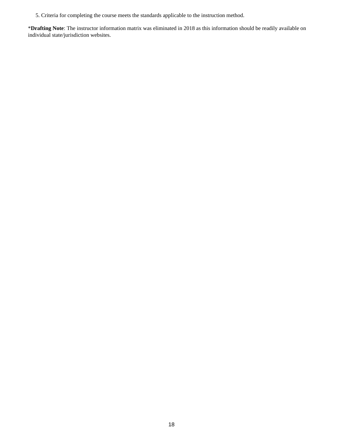5. Criteria for completing the course meets the standards applicable to the instruction method.

\***Drafting Note**: The instructor information matrix was eliminated in 2018 as this information should be readily available on individual state/jurisdiction websites.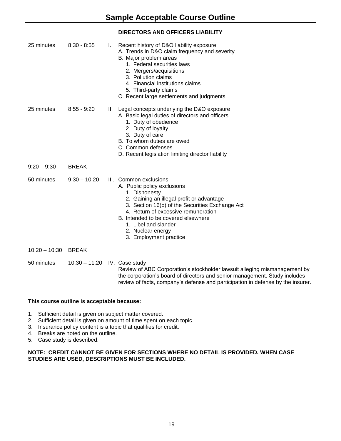# **Sample Acceptable Course Outline**

#### **DIRECTORS AND OFFICERS LIABILITY**

| 25 minutes      | $8:30 - 8:55$   | I. | Recent history of D&O liability exposure<br>A. Trends in D&O claim frequency and severity<br>B. Major problem areas<br>1. Federal securities laws<br>2. Mergers/acquisitions<br>3. Pollution claims<br>4. Financial institutions claims<br>5. Third-party claims<br>C. Recent large settlements and judgments               |
|-----------------|-----------------|----|-----------------------------------------------------------------------------------------------------------------------------------------------------------------------------------------------------------------------------------------------------------------------------------------------------------------------------|
| 25 minutes      | $8:55 - 9:20$   | Ш. | Legal concepts underlying the D&O exposure<br>A. Basic legal duties of directors and officers<br>1. Duty of obedience<br>2. Duty of loyalty<br>3. Duty of care<br>B. To whom duties are owed<br>C. Common defenses<br>D. Recent legislation limiting director liability                                                     |
| $9:20 - 9:30$   | <b>BREAK</b>    |    |                                                                                                                                                                                                                                                                                                                             |
| 50 minutes      | $9:30 - 10:20$  |    | III. Common exclusions<br>A. Public policy exclusions<br>1. Dishonesty<br>2. Gaining an illegal profit or advantage<br>3. Section 16(b) of the Securities Exchange Act<br>4. Return of excessive remuneration<br>B. Intended to be covered elsewhere<br>1. Libel and slander<br>2. Nuclear energy<br>3. Employment practice |
| $10:20 - 10:30$ | <b>BREAK</b>    |    |                                                                                                                                                                                                                                                                                                                             |
| 50 minutes      | $10:30 - 11:20$ |    | IV. Case study<br>Review of ABC Corporation's stockholder lawsuit alleging mismanagement by<br>the corporation's board of directors and senior management. Study includes<br>review of facts, company's defense and participation in defense by the insurer.                                                                |

#### **This course outline is acceptable because:**

- 1. Sufficient detail is given on subject matter covered.
- 2. Sufficient detail is given on amount of time spent on each topic.
- 3. Insurance policy content is a topic that qualifies for credit.
- 4. Breaks are noted on the outline.
- 5. Case study is described.

#### **NOTE: CREDIT CANNOT BE GIVEN FOR SECTIONS WHERE NO DETAIL IS PROVIDED. WHEN CASE STUDIES ARE USED, DESCRIPTIONS MUST BE INCLUDED.**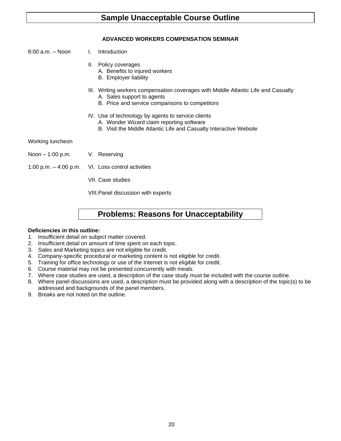# **Sample Unacceptable Course Outline**

#### **ADVANCED WORKERS COMPENSATION SEMINAR**

- 8:00 a.m. Noon I. Introduction
	- II. Policy coverages
		- A. Benefits to injured workers
			- B. Employer liability
	- III. Writing workers compensation coverages with Middle Atlantic Life and Casualty A. Sales support to agents
		- B. Price and service comparisons to competitors
	- IV. Use of technology by agents to service clients
		- A. Wonder Wizard claim reporting software
		- B. Visit the Middle Atlantic Life and Casualty Interactive Website

Working luncheon

- Noon 1:00 p.m. V. Reserving
- 1:00 p.m. 4:00 p.m. VI. Loss control activities
	- VII. Case studies

VIII.Panel discussion with experts

# **Problems: Reasons for Unacceptability**

#### **Deficiencies in this outline:**

- 1. Insufficient detail on subject matter covered.
- 2. Insufficient detail on amount of time spent on each topic.
- 3. Sales and Marketing topics are not eligible for credit.
- 4. Company-specific procedural or marketing content is not eligible for credit.
- 5. Training for office technology or use of the Internet is not eligible for credit.
- 6. Course material may not be presented concurrently with meals.
- 7. Where case studies are used, a description of the case study must be included with the course outline.
- 8. Where panel discussions are used, a description must be provided along with a description of the topic(s) to be addressed and backgrounds of the panel members.
- 9. Breaks are not noted on the outline.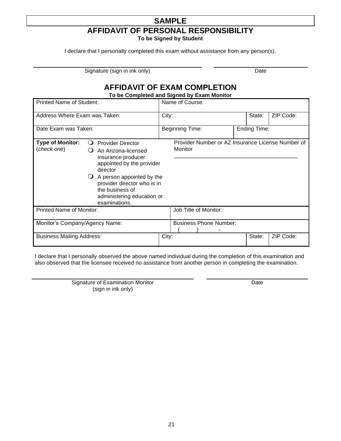# **SAMPLE AFFIDAVIT OF PERSONAL RESPONSIBILITY**

**To be Signed by Student**

I declare that I personally completed this exam without assistance from any person(s).

Signature (sign in ink only) Date

# **AFFIDAVIT OF EXAM COMPLETION**

**To be Completed and Signed by Exam Monitor**

| Printed Name of Student:                                       |                                                                                                                                                                                                                                                         | Name of Course: |                                                              |  |              |           |  |
|----------------------------------------------------------------|---------------------------------------------------------------------------------------------------------------------------------------------------------------------------------------------------------------------------------------------------------|-----------------|--------------------------------------------------------------|--|--------------|-----------|--|
| Address Where Exam was Taken:                                  |                                                                                                                                                                                                                                                         | City:           |                                                              |  | State:       | ZIP Code: |  |
| Date Exam was Taken:                                           |                                                                                                                                                                                                                                                         |                 | <b>Beginning Time:</b>                                       |  | Ending Time: |           |  |
| <b>Type of Monitor:</b><br>$\Omega$<br>(check one)<br>$\Omega$ | <b>Provider Director</b><br>An Arizona-licensed<br>insurance producer<br>appointed by the provider<br>director<br>$\bigcirc$ A person appointed by the<br>provider director who is in<br>the business of<br>administering education or<br>examinations. |                 | Provider Number or AZ Insurance License Number of<br>Monitor |  |              |           |  |
| <b>Printed Name of Monitor:</b>                                |                                                                                                                                                                                                                                                         |                 | Job Title of Monitor:                                        |  |              |           |  |
| Monitor's Company/Agency Name:                                 |                                                                                                                                                                                                                                                         |                 | <b>Business Phone Number:</b>                                |  |              |           |  |
| <b>Business Mailing Address:</b>                               |                                                                                                                                                                                                                                                         | City:           |                                                              |  | State:       | ZIP Code: |  |

I declare that I personally observed the above named individual during the completion of this examination and also observed that the licensee received no assistance from another person in completing the examination.

> Signature of Examination Monitor (sign in ink only)

Date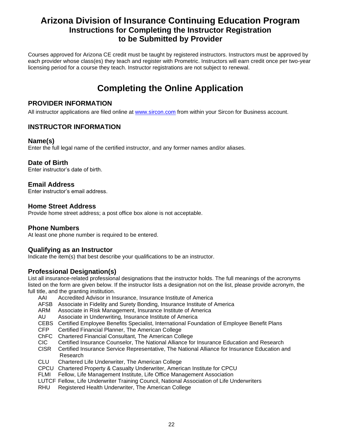# **Arizona Division of Insurance Continuing Education Program Instructions for Completing the Instructor Registration to be Submitted by Provider**

Courses approved for Arizona CE credit must be taught by registered instructors. Instructors must be approved by each provider whose class(es) they teach and register with Prometric. Instructors will earn credit once per two-year licensing period for a course they teach. Instructor registrations are not subject to renewal.

# **Completing the Online Application**

# **PROVIDER INFORMATION**

All instructor applications are filed online at [www.sircon.com](http://www.sircon.com/) from within your Sircon for Business account.

# **INSTRUCTOR INFORMATION**

# **Name(s)**

Enter the full legal name of the certified instructor, and any former names and/or aliases.

# **Date of Birth**

Enter instructor's date of birth.

# **Email Address**

Enter instructor's email address.

# **Home Street Address**

Provide home street address; a post office box alone is not acceptable.

# **Phone Numbers**

At least one phone number is required to be entered.

# **Qualifying as an Instructor**

Indicate the item(s) that best describe your qualifications to be an instructor.

# **Professional Designation(s)**

List all insurance-related professional designations that the instructor holds. The full meanings of the acronyms listed on the form are given below. If the instructor lists a designation not on the list, please provide acronym, the full title, and the granting institution.

- AAI Accredited Advisor in Insurance, Insurance Institute of America
- AFSB Associate in Fidelity and Surety Bonding, Insurance Institute of America
- ARM Associate in Risk Management, Insurance Institute of America
- AU Associate in Underwriting, Insurance Institute of America
- CEBS Certified Employee Benefits Specialist, International Foundation of Employee Benefit Plans
- CFP Certified Financial Planner, The American College
- ChFC Chartered Financial Consultant, The American College
- CIC Certified Insurance Counselor, The National Alliance for Insurance Education and Research
- CISR Certified Insurance Service Representative, The National Alliance for Insurance Education and Research
- CLU Chartered Life Underwriter, The American College
- CPCU Chartered Property & Casualty Underwriter, American Institute for CPCU
- FLMI Fellow, Life Management Institute, Life Office Management Association
- LUTCF Fellow, Life Underwriter Training Council, National Association of Life Underwriters
- RHU Registered Health Underwriter, The American College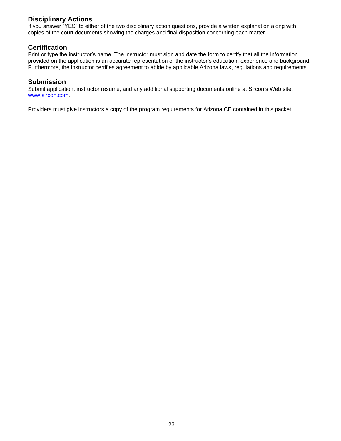# **Disciplinary Actions**

If you answer "YES" to either of the two disciplinary action questions, provide a written explanation along with copies of the court documents showing the charges and final disposition concerning each matter.

### **Certification**

Print or type the instructor's name. The instructor must sign and date the form to certify that all the information provided on the application is an accurate representation of the instructor's education, experience and background. Furthermore, the instructor certifies agreement to abide by applicable Arizona laws, regulations and requirements.

#### **Submission**

Submit application, instructor resume, and any additional supporting documents online at Sircon's Web site, [www.sircon.com.](http://www.sircon.com/)

Providers must give instructors a copy of the program requirements for Arizona CE contained in this packet.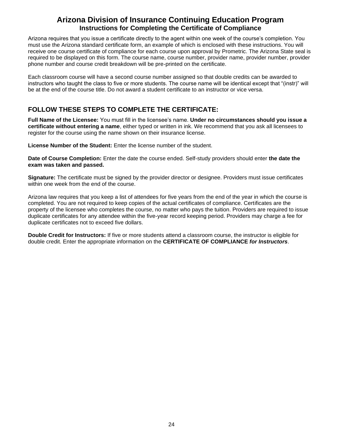# **Arizona Division of Insurance Continuing Education Program Instructions for Completing the Certificate of Compliance**

Arizona requires that you issue a certificate directly to the agent within one week of the course's completion. You must use the Arizona standard certificate form, an example of which is enclosed with these instructions. You will receive one course certificate of compliance for each course upon approval by Prometric. The Arizona State seal is required to be displayed on this form. The course name, course number, provider name, provider number, provider phone number and course credit breakdown will be pre-printed on the certificate.

Each classroom course will have a second course number assigned so that double credits can be awarded to instructors who taught the class to five or more students. The course name will be identical except that "(instr)" will be at the end of the course title. Do not award a student certificate to an instructor or vice versa.

# **FOLLOW THESE STEPS TO COMPLETE THE CERTIFICATE:**

**Full Name of the Licensee:** You must fill in the licensee's name. **Under no circumstances should you issue a certificate without entering a name**, either typed or written in ink. We recommend that you ask all licensees to register for the course using the name shown on their insurance license.

**License Number of the Student:** Enter the license number of the student.

**Date of Course Completion:** Enter the date the course ended. Self-study providers should enter **the date the exam was taken and passed.**

**Signature:** The certificate must be signed by the provider director or designee. Providers must issue certificates within one week from the end of the course.

Arizona law requires that you keep a list of attendees for five years from the end of the year in which the course is completed. You are not required to keep copies of the actual certificates of compliance. Certificates are the property of the licensee who completes the course, no matter who pays the tuition. Providers are required to issue duplicate certificates for any attendee within the five-year record keeping period. Providers may charge a fee for duplicate certificates not to exceed five dollars.

**Double Credit for Instructors:** If five or more students attend a classroom course, the instructor is eligible for double credit. Enter the appropriate information on the **CERTIFICATE OF COMPLIANCE** *for Instructors*.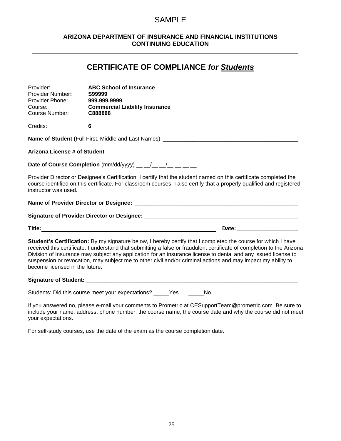# SAMPLE

# **ARIZONA DEPARTMENT OF INSURANCE AND FINANCIAL INSTITUTIONS CONTINUING EDUCATION**

# **CERTIFICATE OF COMPLIANCE** *for Students*

| Provider:<br><b>Provider Number:</b><br>Provider Phone:<br>Course:<br><b>Course Number:</b> | <b>ABC School of Insurance</b><br>S99999<br>999.999.9999<br><b>Commercial Liability Insurance</b><br>C888888                                                                                                                                                                                                                                                                                                                                                              |  |
|---------------------------------------------------------------------------------------------|---------------------------------------------------------------------------------------------------------------------------------------------------------------------------------------------------------------------------------------------------------------------------------------------------------------------------------------------------------------------------------------------------------------------------------------------------------------------------|--|
| Credits:                                                                                    | $6\phantom{1}$                                                                                                                                                                                                                                                                                                                                                                                                                                                            |  |
|                                                                                             |                                                                                                                                                                                                                                                                                                                                                                                                                                                                           |  |
|                                                                                             |                                                                                                                                                                                                                                                                                                                                                                                                                                                                           |  |
|                                                                                             | Date of Course Completion $(mm/dd/yyyy)$ __ _/__ _/__ __                                                                                                                                                                                                                                                                                                                                                                                                                  |  |
| instructor was used.                                                                        | Provider Director or Designee's Certification: I certify that the student named on this certificate completed the<br>course identified on this certificate. For classroom courses, I also certify that a properly qualified and registered                                                                                                                                                                                                                                |  |
|                                                                                             |                                                                                                                                                                                                                                                                                                                                                                                                                                                                           |  |
|                                                                                             |                                                                                                                                                                                                                                                                                                                                                                                                                                                                           |  |
|                                                                                             | Date: _______________________                                                                                                                                                                                                                                                                                                                                                                                                                                             |  |
| become licensed in the future.                                                              | Student's Certification: By my signature below, I hereby certify that I completed the course for which I have<br>received this certificate. I understand that submitting a false or fraudulent certificate of completion to the Arizona<br>Division of Insurance may subject any application for an insurance license to denial and any issued license to<br>suspension or revocation, may subject me to other civil and/or criminal actions and may impact my ability to |  |
|                                                                                             |                                                                                                                                                                                                                                                                                                                                                                                                                                                                           |  |
|                                                                                             | Students: Did this course meet your expectations? _____Yes ______No                                                                                                                                                                                                                                                                                                                                                                                                       |  |
| your expectations.                                                                          | If you answered no, please e-mail your comments to Prometric at CESupportTeam@prometric.com. Be sure to<br>include your name, address, phone number, the course name, the course date and why the course did not meet                                                                                                                                                                                                                                                     |  |

For self-study courses, use the date of the exam as the course completion date.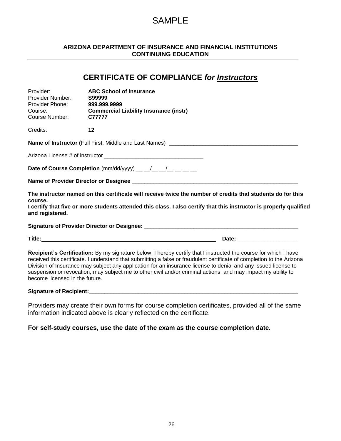# SAMPLE

#### **ARIZONA DEPARTMENT OF INSURANCE AND FINANCIAL INSTITUTIONS CONTINUING EDUCATION**

# **CERTIFICATE OF COMPLIANCE** *for Instructors* Provider: **ABC School of Insurance** Provider Number: Provider Phone: **999.999.9999** Course: **Commercial Liability Insurance (instr)** Course Number: **C77777** Credits: **12 Name of Instructor (**Full First, Middle and Last Names) \_\_\_\_\_\_\_\_\_\_\_\_\_\_\_\_\_\_\_\_\_\_\_\_\_\_\_\_\_\_\_\_\_\_\_\_\_\_\_\_\_\_ Arizona License # of instructor **Date of Course Completion** (mm/dd/yyyy) \_\_ \_/\_ \_/\_ \_/\_ \_\_ \_\_ **Name of Provider Director or Designee The instructor named on this certificate will receive twice the number of credits that students do for this course. I certify that five or more students attended this class. I also certify that this instructor is properly qualified and registered. Signature of Provider Director or Designee: \_\_\_\_\_\_\_\_\_\_\_\_\_\_\_\_\_\_\_\_\_\_\_\_\_\_\_\_\_\_\_\_\_\_\_\_\_\_\_\_\_\_\_\_\_\_\_\_\_\_ Title:** Date: Date: Date: Date: Date: Date: Date: Date: Date: Date: Date: Date: Date: Date: Date: Date: Date: Date: Date: Date: Date: Date: Date: Date: Date: Date: Date: Date: Date: Date: Date: Date: Date: Date: Date: Dat **Recipient's Certification:** By my signature below, I hereby certify that I instructed the course for which I have received this certificate. I understand that submitting a false or fraudulent certificate of completion to the Arizona Division of Insurance may subject any application for an insurance license to denial and any issued license to suspension or revocation, may subject me to other civil and/or criminal actions, and may impact my ability to become licensed in the future.

#### Signature of Recipient:

Providers may create their own forms for course completion certificates, provided all of the same information indicated above is clearly reflected on the certificate.

**For self-study courses, use the date of the exam as the course completion date.**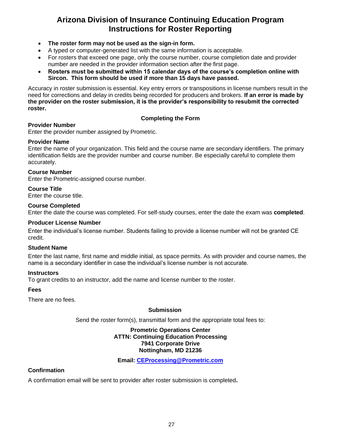# **Arizona Division of Insurance Continuing Education Program Instructions for Roster Reporting**

- **The roster form may not be used as the sign-in form.**
- A typed or computer-generated list with the same information is acceptable.
- For rosters that exceed one page, only the course number, course completion date and provider number are needed in the provider information section after the first page.
- **Rosters must be submitted within 15 calendar days of the course's completion online with Sircon. This form should be used if more than 15 days have passed.**

Accuracy in roster submission is essential. Key entry errors or transpositions in license numbers result in the need for corrections and delay in credits being recorded for producers and brokers. **If an error is made by the provider on the roster submission, it is the provider's responsibility to resubmit the corrected roster.**

# **Completing the Form**

# **Provider Number**

Enter the provider number assigned by Prometric.

# **Provider Name**

Enter the name of your organization. This field and the course name are secondary identifiers. The primary identification fields are the provider number and course number. Be especially careful to complete them accurately.

#### **Course Number**

Enter the Prometric-assigned course number.

#### **Course Title**

Enter the course title.

#### **Course Completed**

Enter the date the course was completed. For self-study courses, enter the date the exam was **completed**.

#### **Producer License Number**

Enter the individual's license number. Students failing to provide a license number will not be granted CE credit.

#### **Student Name**

Enter the last name, first name and middle initial, as space permits. As with provider and course names, the name is a secondary identifier in case the individual's license number is not accurate.

#### **Instructors**

To grant credits to an instructor, add the name and license number to the roster.

# **Fees**

There are no fees.

#### **Submission**

Send the roster form(s), transmittal form and the appropriate total fees to:

#### **Prometric Operations Center ATTN: Continuing Education Processing 7941 Corporate Drive Nottingham, MD 21236**

**Email: [CEProcessing@Prometric.com](mailto:CEProcessing@Prometric.com)**

# **Confirmation**

A confirmation email will be sent to provider after roster submission is completed**.**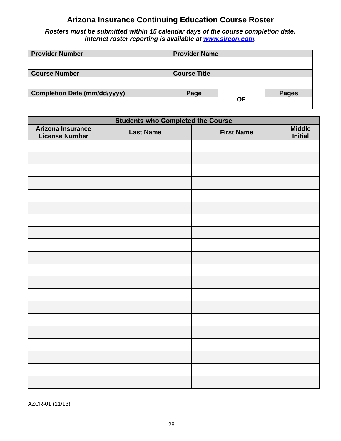# **Arizona Insurance Continuing Education Course Roster**

<span id="page-29-0"></span>*Rosters must be submitted within 15 calendar days of the course completion date. Internet roster reporting is available at [www.sircon.com.](http://www.sircon.com/)*

| <b>Provider Number</b>              | <b>Provider Name</b> |           |              |
|-------------------------------------|----------------------|-----------|--------------|
|                                     |                      |           |              |
| <b>Course Number</b>                | <b>Course Title</b>  |           |              |
|                                     |                      |           |              |
| <b>Completion Date (mm/dd/yyyy)</b> | Page                 |           | <b>Pages</b> |
|                                     |                      | <b>OF</b> |              |

| <b>Students who Completed the Course</b>   |                  |                   |                                 |  |  |  |  |  |
|--------------------------------------------|------------------|-------------------|---------------------------------|--|--|--|--|--|
| Arizona Insurance<br><b>License Number</b> | <b>Last Name</b> | <b>First Name</b> | <b>Middle</b><br><b>Initial</b> |  |  |  |  |  |
|                                            |                  |                   |                                 |  |  |  |  |  |
|                                            |                  |                   |                                 |  |  |  |  |  |
|                                            |                  |                   |                                 |  |  |  |  |  |
|                                            |                  |                   |                                 |  |  |  |  |  |
|                                            |                  |                   |                                 |  |  |  |  |  |
|                                            |                  |                   |                                 |  |  |  |  |  |
|                                            |                  |                   |                                 |  |  |  |  |  |
|                                            |                  |                   |                                 |  |  |  |  |  |
|                                            |                  |                   |                                 |  |  |  |  |  |
|                                            |                  |                   |                                 |  |  |  |  |  |
|                                            |                  |                   |                                 |  |  |  |  |  |
|                                            |                  |                   |                                 |  |  |  |  |  |
|                                            |                  |                   |                                 |  |  |  |  |  |
|                                            |                  |                   |                                 |  |  |  |  |  |
|                                            |                  |                   |                                 |  |  |  |  |  |
|                                            |                  |                   |                                 |  |  |  |  |  |
|                                            |                  |                   |                                 |  |  |  |  |  |
|                                            |                  |                   |                                 |  |  |  |  |  |
|                                            |                  |                   |                                 |  |  |  |  |  |
|                                            |                  |                   |                                 |  |  |  |  |  |

AZCR-01 (11/13)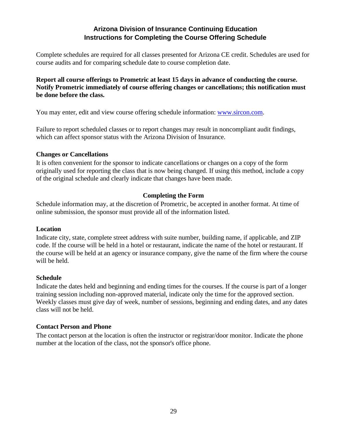# **Arizona Division of Insurance Continuing Education Instructions for Completing the Course Offering Schedule**

Complete schedules are required for all classes presented for Arizona CE credit. Schedules are used for course audits and for comparing schedule date to course completion date.

**Report all course offerings to Prometric at least 15 days in advance of conducting the course. Notify Prometric immediately of course offering changes or cancellations; this notification must be done before the class.**

You may enter, edit and view course offering schedule information: [www.sircon.com.](http://www.sircon.com/)

Failure to report scheduled classes or to report changes may result in noncompliant audit findings, which can affect sponsor status with the Arizona Division of Insurance.

# **Changes or Cancellations**

It is often convenient for the sponsor to indicate cancellations or changes on a copy of the form originally used for reporting the class that is now being changed. If using this method, include a copy of the original schedule and clearly indicate that changes have been made.

# **Completing the Form**

Schedule information may, at the discretion of Prometric, be accepted in another format. At time of online submission, the sponsor must provide all of the information listed.

# **Location**

Indicate city, state, complete street address with suite number, building name, if applicable, and ZIP code. If the course will be held in a hotel or restaurant, indicate the name of the hotel or restaurant. If the course will be held at an agency or insurance company, give the name of the firm where the course will be held.

# **Schedule**

Indicate the dates held and beginning and ending times for the courses. If the course is part of a longer training session including non-approved material, indicate only the time for the approved section. Weekly classes must give day of week, number of sessions, beginning and ending dates, and any dates class will not be held.

# **Contact Person and Phone**

The contact person at the location is often the instructor or registrar/door monitor. Indicate the phone number at the location of the class, not the sponsor's office phone.